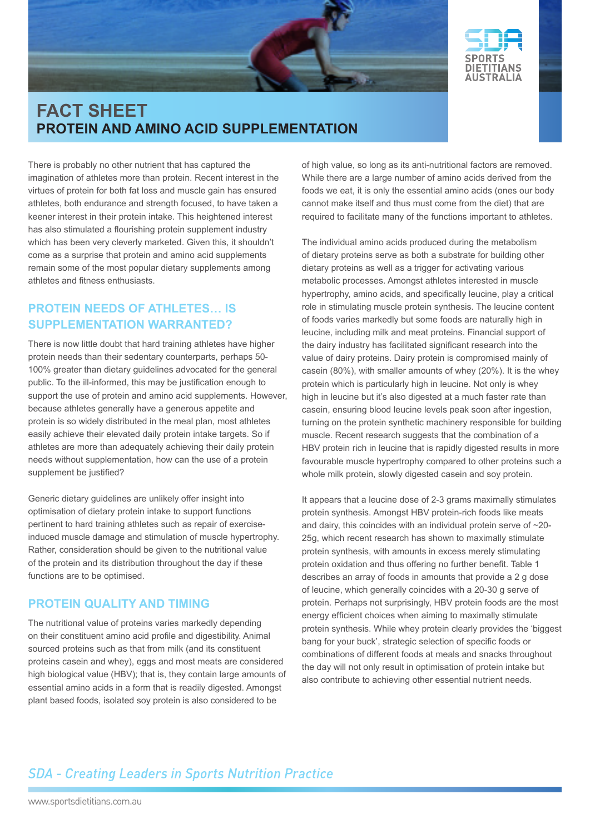



There is probably no other nutrient that has captured the imagination of athletes more than protein. Recent interest in the virtues of protein for both fat loss and muscle gain has ensured athletes, both endurance and strength focused, to have taken a keener interest in their protein intake. This heightened interest has also stimulated a flourishing protein supplement industry which has been very cleverly marketed. Given this, it shouldn't come as a surprise that protein and amino acid supplements remain some of the most popular dietary supplements among athletes and fitness enthusiasts.

### **Protein needs of athletes… Is supplementation warranted?**

There is now little doubt that hard training athletes have higher protein needs than their sedentary counterparts, perhaps 50- 100% greater than dietary guidelines advocated for the general public. To the ill-informed, this may be justification enough to support the use of protein and amino acid supplements. However, because athletes generally have a generous appetite and protein is so widely distributed in the meal plan, most athletes easily achieve their elevated daily protein intake targets. So if athletes are more than adequately achieving their daily protein needs without supplementation, how can the use of a protein supplement be justified?

Generic dietary guidelines are unlikely offer insight into optimisation of dietary protein intake to support functions pertinent to hard training athletes such as repair of exerciseinduced muscle damage and stimulation of muscle hypertrophy. Rather, consideration should be given to the nutritional value of the protein and its distribution throughout the day if these functions are to be optimised.

### **Protein quality and timing**

The nutritional value of proteins varies markedly depending on their constituent amino acid profile and digestibility. Animal sourced proteins such as that from milk (and its constituent proteins casein and whey), eggs and most meats are considered high biological value (HBV); that is, they contain large amounts of essential amino acids in a form that is readily digested. Amongst plant based foods, isolated soy protein is also considered to be

of high value, so long as its anti-nutritional factors are removed. While there are a large number of amino acids derived from the foods we eat, it is only the essential amino acids (ones our body cannot make itself and thus must come from the diet) that are required to facilitate many of the functions important to athletes.

The individual amino acids produced during the metabolism of dietary proteins serve as both a substrate for building other dietary proteins as well as a trigger for activating various metabolic processes. Amongst athletes interested in muscle hypertrophy, amino acids, and specifically leucine, play a critical role in stimulating muscle protein synthesis. The leucine content of foods varies markedly but some foods are naturally high in leucine, including milk and meat proteins. Financial support of the dairy industry has facilitated significant research into the value of dairy proteins. Dairy protein is compromised mainly of casein (80%), with smaller amounts of whey (20%). It is the whey protein which is particularly high in leucine. Not only is whey high in leucine but it's also digested at a much faster rate than casein, ensuring blood leucine levels peak soon after ingestion, turning on the protein synthetic machinery responsible for building muscle. Recent research suggests that the combination of a HBV protein rich in leucine that is rapidly digested results in more favourable muscle hypertrophy compared to other proteins such a whole milk protein, slowly digested casein and soy protein.

It appears that a leucine dose of 2-3 grams maximally stimulates protein synthesis. Amongst HBV protein-rich foods like meats and dairy, this coincides with an individual protein serve of ~20- 25g, which recent research has shown to maximally stimulate protein synthesis, with amounts in excess merely stimulating protein oxidation and thus offering no further benefit. Table 1 describes an array of foods in amounts that provide a 2 g dose of leucine, which generally coincides with a 20-30 g serve of protein. Perhaps not surprisingly, HBV protein foods are the most energy efficient choices when aiming to maximally stimulate protein synthesis. While whey protein clearly provides the 'biggest bang for your buck', strategic selection of specific foods or combinations of different foods at meals and snacks throughout the day will not only result in optimisation of protein intake but also contribute to achieving other essential nutrient needs.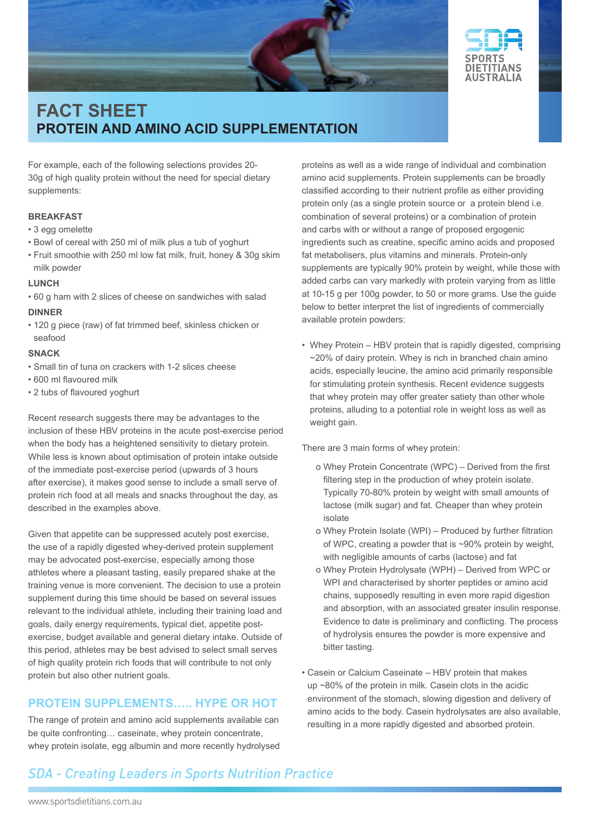



For example, each of the following selections provides 20- 30g of high quality protein without the need for special dietary supplements:

#### **Breakfast**

- 3 egg omelette
- Bowl of cereal with 250 ml of milk plus a tub of yoghurt
- Fruit smoothie with 250 ml low fat milk, fruit, honey & 30g skim milk powder

#### **Lunch**

- 60 g ham with 2 slices of cheese on sandwiches with salad **DINNER**
- 120 g piece (raw) of fat trimmed beef, skinless chicken or seafood

#### **Snack**

- Small tin of tuna on crackers with 1-2 slices cheese
- 600 ml flavoured milk
- 2 tubs of flavoured yoghurt

Recent research suggests there may be advantages to the inclusion of these HBV proteins in the acute post-exercise period when the body has a heightened sensitivity to dietary protein. While less is known about optimisation of protein intake outside of the immediate post-exercise period (upwards of 3 hours after exercise), it makes good sense to include a small serve of protein rich food at all meals and snacks throughout the day, as described in the examples above.

Given that appetite can be suppressed acutely post exercise, the use of a rapidly digested whey-derived protein supplement may be advocated post-exercise, especially among those athletes where a pleasant tasting, easily prepared shake at the training venue is more convenient. The decision to use a protein supplement during this time should be based on several issues relevant to the individual athlete, including their training load and goals, daily energy requirements, typical diet, appetite postexercise, budget available and general dietary intake. Outside of this period, athletes may be best advised to select small serves of high quality protein rich foods that will contribute to not only protein but also other nutrient goals.

#### **Protein supplements….. Hype or hot**

The range of protein and amino acid supplements available can be quite confronting… caseinate, whey protein concentrate, whey protein isolate, egg albumin and more recently hydrolysed

proteins as well as a wide range of individual and combination amino acid supplements. Protein supplements can be broadly classified according to their nutrient profile as either providing protein only (as a single protein source or a protein blend i.e. combination of several proteins) or a combination of protein and carbs with or without a range of proposed ergogenic ingredients such as creatine, specific amino acids and proposed fat metabolisers, plus vitamins and minerals. Protein-only supplements are typically 90% protein by weight, while those with added carbs can vary markedly with protein varying from as little at 10-15 g per 100g powder, to 50 or more grams. Use the guide below to better interpret the list of ingredients of commercially available protein powders:

• Whey Protein – HBV protein that is rapidly digested, comprising ~20% of dairy protein. Whey is rich in branched chain amino acids, especially leucine, the amino acid primarily responsible for stimulating protein synthesis. Recent evidence suggests that whey protein may offer greater satiety than other whole proteins, alluding to a potential role in weight loss as well as weight gain.

There are 3 main forms of whey protein:

- o Whey Protein Concentrate (WPC) Derived from the first filtering step in the production of whey protein isolate. Typically 70-80% protein by weight with small amounts of lactose (milk sugar) and fat. Cheaper than whey protein isolate
- o Whey Protein Isolate (WPI) Produced by further filtration of WPC, creating a powder that is ~90% protein by weight, with negligible amounts of carbs (lactose) and fat
- o Whey Protein Hydrolysate (WPH) Derived from WPC or WPI and characterised by shorter peptides or amino acid chains, supposedly resulting in even more rapid digestion and absorption, with an associated greater insulin response. Evidence to date is preliminary and conflicting. The process of hydrolysis ensures the powder is more expensive and bitter tasting.
- Casein or Calcium Caseinate HBV protein that makes up ~80% of the protein in milk. Casein clots in the acidic environment of the stomach, slowing digestion and delivery of amino acids to the body. Casein hydrolysates are also available, resulting in a more rapidly digested and absorbed protein.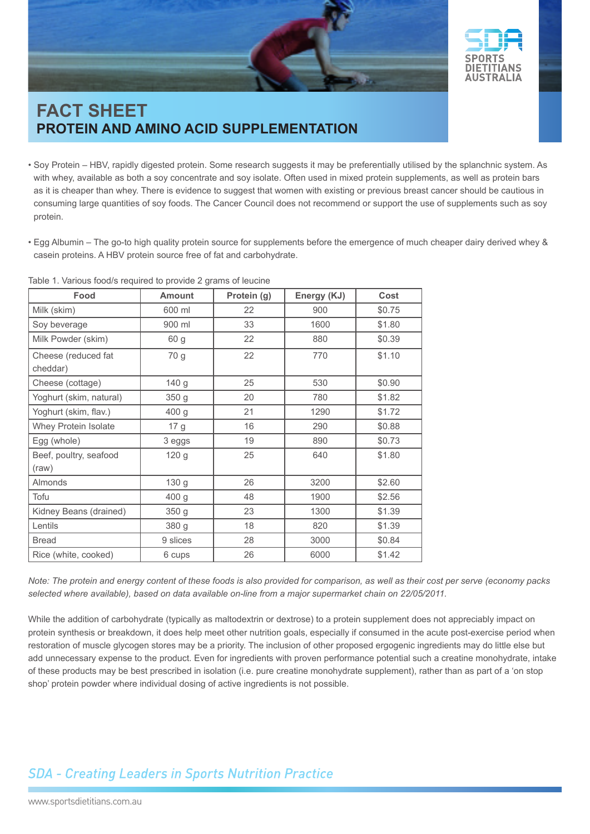



- Soy Protein HBV, rapidly digested protein. Some research suggests it may be preferentially utilised by the splanchnic system. As with whey, available as both a soy concentrate and soy isolate. Often used in mixed protein supplements, as well as protein bars as it is cheaper than whey. There is evidence to suggest that women with existing or previous breast cancer should be cautious in consuming large quantities of soy foods. The Cancer Council does not recommend or support the use of supplements such as soy protein.
- Egg Albumin The go-to high quality protein source for supplements before the emergence of much cheaper dairy derived whey & casein proteins. A HBV protein source free of fat and carbohydrate.

|  |  |  | Table 1. Various food/s required to provide 2 grams of leucine |  |  |  |  |  |  |
|--|--|--|----------------------------------------------------------------|--|--|--|--|--|--|
|--|--|--|----------------------------------------------------------------|--|--|--|--|--|--|

| Food                            | <b>Amount</b>    | Protein (g) | Energy (KJ) | Cost   |  |
|---------------------------------|------------------|-------------|-------------|--------|--|
| Milk (skim)                     | 600 ml           | 22          | 900         | \$0.75 |  |
| Soy beverage                    | 900 ml           | 33          | 1600        | \$1.80 |  |
| Milk Powder (skim)              | 60 g             | 22          | 880         | \$0.39 |  |
| Cheese (reduced fat<br>cheddar) | 70 g             | 22          | 770         | \$1.10 |  |
| Cheese (cottage)                | 140 <sub>g</sub> | 25          | 530         | \$0.90 |  |
| Yoghurt (skim, natural)         | 350 g            | 20          | 780         | \$1.82 |  |
| Yoghurt (skim, flav.)           | 400 g            | 21          | 1290        | \$1.72 |  |
| Whey Protein Isolate            | 17 g             | 16          | 290         | \$0.88 |  |
| Egg (whole)                     | 3 eggs           | 19          | 890         | \$0.73 |  |
| Beef, poultry, seafood<br>(raw) | 120 <sub>g</sub> | 25          | 640         | \$1.80 |  |
| Almonds                         | 130 <sub>g</sub> | 26          | 3200        | \$2.60 |  |
| Tofu                            | 400 <sub>g</sub> | 48          | 1900        | \$2.56 |  |
| Kidney Beans (drained)          | 350 <sub>g</sub> | 23          | 1300        | \$1.39 |  |
| Lentils                         | 380 g            | 18          | 820         | \$1.39 |  |
| <b>Bread</b>                    | 9 slices         | 28          | 3000        | \$0.84 |  |
| Rice (white, cooked)            | 6 cups           | 26          | 6000        | \$1.42 |  |

*Note: The protein and energy content of these foods is also provided for comparison, as well as their cost per serve (economy packs selected where available), based on data available on-line from a major supermarket chain on 22/05/2011.*

While the addition of carbohydrate (typically as maltodextrin or dextrose) to a protein supplement does not appreciably impact on protein synthesis or breakdown, it does help meet other nutrition goals, especially if consumed in the acute post-exercise period when restoration of muscle glycogen stores may be a priority. The inclusion of other proposed ergogenic ingredients may do little else but add unnecessary expense to the product. Even for ingredients with proven performance potential such a creatine monohydrate, intake of these products may be best prescribed in isolation (i.e. pure creatine monohydrate supplement), rather than as part of a 'on stop shop' protein powder where individual dosing of active ingredients is not possible.